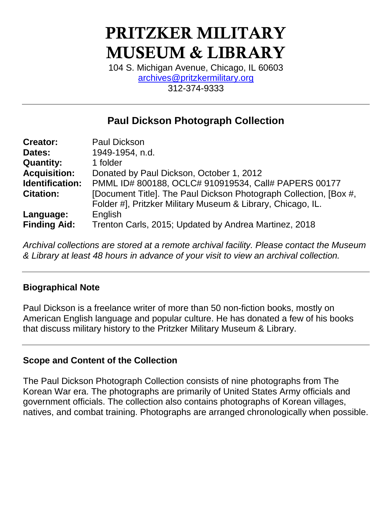# **PRITZKER MILITARY MUSEUM & LIBRARY**

104 S. Michigan Avenue, Chicago, IL 60603 [archives@pritzkermilitary.org](mailto:archives@pritzkermilitary.org) 312-374-9333

## **Paul Dickson Photograph Collection**

| <b>Creator:</b>     | <b>Paul Dickson</b>                                               |
|---------------------|-------------------------------------------------------------------|
| Dates:              | 1949-1954, n.d.                                                   |
| <b>Quantity:</b>    | 1 folder                                                          |
| <b>Acquisition:</b> | Donated by Paul Dickson, October 1, 2012                          |
| Identification:     | PMML ID# 800188, OCLC# 910919534, Call# PAPERS 00177              |
| <b>Citation:</b>    | [Document Title]. The Paul Dickson Photograph Collection, [Box #, |
|                     | Folder #], Pritzker Military Museum & Library, Chicago, IL.       |
| Language:           | English                                                           |
| <b>Finding Aid:</b> | Trenton Carls, 2015; Updated by Andrea Martinez, 2018             |

*Archival collections are stored at a remote archival facility. Please contact the Museum & Library at least 48 hours in advance of your visit to view an archival collection.*

## **Biographical Note**

Paul Dickson is a freelance writer of more than 50 non-fiction books, mostly on American English language and popular culture. He has donated a few of his books that discuss military history to the Pritzker Military Museum & Library.

## **Scope and Content of the Collection**

The Paul Dickson Photograph Collection consists of nine photographs from The Korean War era. The photographs are primarily of United States Army officials and government officials. The collection also contains photographs of Korean villages, natives, and combat training. Photographs are arranged chronologically when possible.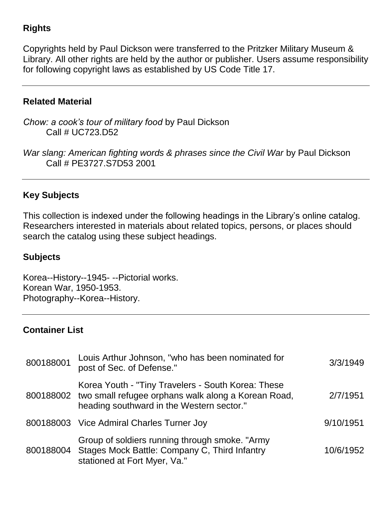## **Rights**

Copyrights held by Paul Dickson were transferred to the Pritzker Military Museum & Library. All other rights are held by the author or publisher. Users assume responsibility for following copyright laws as established by US Code Title 17.

#### **Related Material**

*Chow: a cook's tour of military food* by Paul Dickson Call # UC723.D52

*War slang: American fighting words & phrases since the Civil War* by Paul Dickson Call # PE3727.S7D53 2001

## **Key Subjects**

This collection is indexed under the following headings in the Library's online catalog. Researchers interested in materials about related topics, persons, or places should search the catalog using these subject headings.

### **Subjects**

Korea--History--1945- --Pictorial works. Korean War, 1950-1953. Photography--Korea--History.

## **Container List**

| 800188001 | Louis Arthur Johnson, "who has been nominated for<br>post of Sec. of Defense."                                                                                   | 3/3/1949  |
|-----------|------------------------------------------------------------------------------------------------------------------------------------------------------------------|-----------|
|           | Korea Youth - "Tiny Travelers - South Korea: These<br>800188002 two small refugee orphans walk along a Korean Road,<br>heading southward in the Western sector." | 2/7/1951  |
|           | 800188003 Vice Admiral Charles Turner Joy                                                                                                                        | 9/10/1951 |
|           | Group of soldiers running through smoke. "Army<br>800188004 Stages Mock Battle: Company C, Third Infantry<br>stationed at Fort Myer, Va."                        | 10/6/1952 |